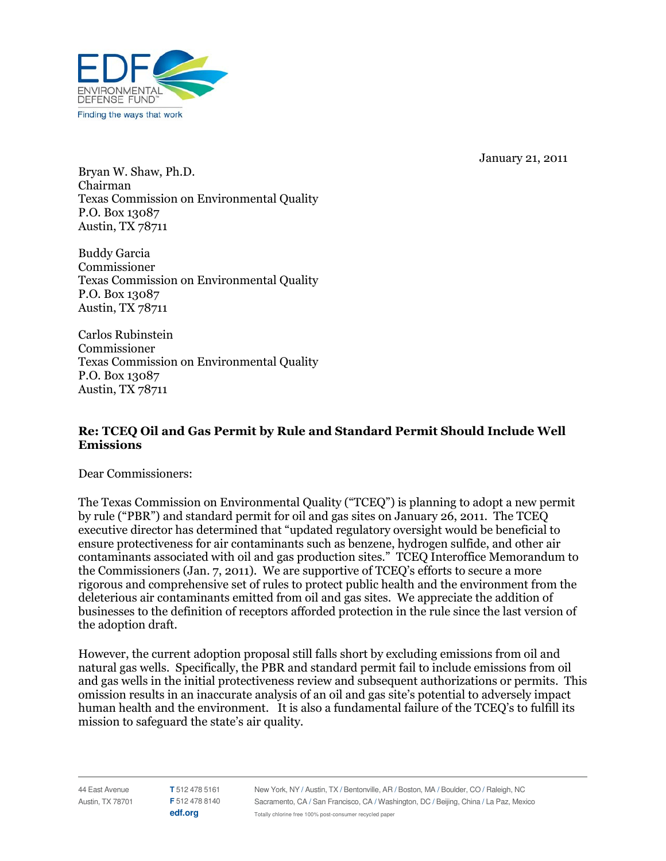January 21, 2011



Bryan W. Shaw, Ph.D. Chairman **Texas Commission on Environmental Quality** P.O. Box 13087 Austin, TX 78711

Buddy Garcia Commissioner **Texas Commission on Environmental Quality** P.O. Box 13087 Austin, TX 78711

Carlos Rubinstein Commissioner Texas Commission on Environmental Quality P.O. Box 13087 Austin, TX 78711

## Re: TCEQ Oil and Gas Permit by Rule and Standard Permit Should Include Well **Emissions**

Dear Commissioners:

The Texas Commission on Environmental Quality ("TCEQ") is planning to adopt a new permit by rule ("PBR") and standard permit for oil and gas sites on January 26, 2011. The TCEQ executive director has determined that "updated regulatory oversight would be beneficial to ensure protectiveness for air contaminants such as benzene, hydrogen sulfide, and other air contaminants associated with oil and gas production sites." TCEQ Interoffice Memorandum to the Commissioners (Jan. 7, 2011). We are supportive of TCEQ's efforts to secure a more rigorous and comprehensive set of rules to protect public health and the environment from the deleterious air contaminants emitted from oil and gas sites. We appreciate the addition of businesses to the definition of receptors afforded protection in the rule since the last version of the adoption draft.

However, the current adoption proposal still falls short by excluding emissions from oil and natural gas wells. Specifically, the PBR and standard permit fail to include emissions from oil and gas wells in the initial protectiveness review and subsequent authorizations or permits. This omission results in an inaccurate analysis of an oil and gas site's potential to adversely impact human health and the environment. It is also a fundamental failure of the TCEQ's to fulfill its mission to safeguard the state's air quality.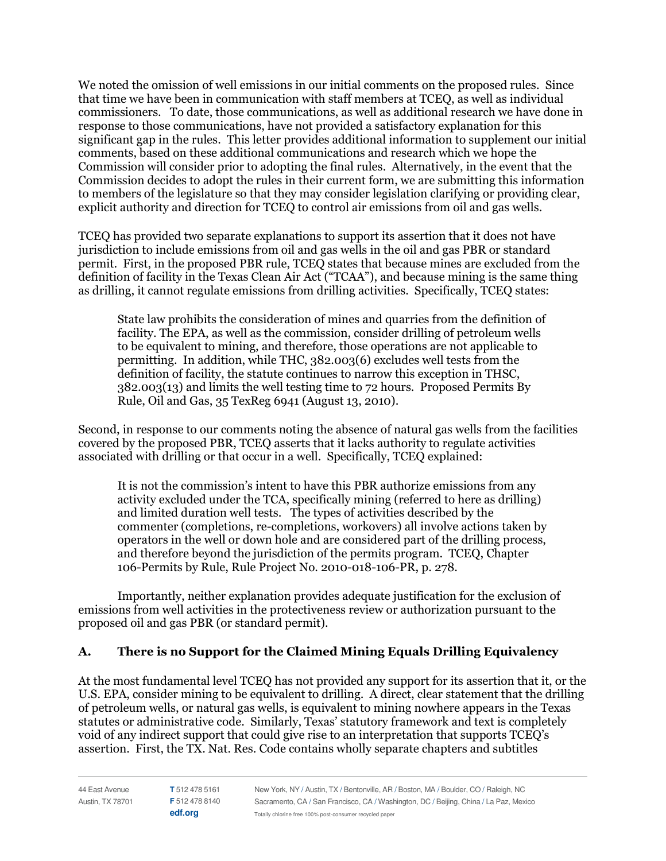We noted the omission of well emissions in our initial comments on the proposed rules. Since that time we have been in communication with staff members at TCEQ, as well as individual commissioners. To date, those communications, as well as additional research we have done in response to those communications, have not provided a satisfactory explanation for this significant gap in the rules. This letter provides additional information to supplement our initial comments, based on these additional communications and research which we hope the Commission will consider prior to adopting the final rules. Alternatively, in the event that the Commission decides to adopt the rules in their current form, we are submitting this information to members of the legislature so that they may consider legislation clarifying or providing clear, explicit authority and direction for TCEQ to control air emissions from oil and gas wells.

TCEQ has provided two separate explanations to support its assertion that it does not have jurisdiction to include emissions from oil and gas wells in the oil and gas PBR or standard permit. First, in the proposed PBR rule, TCEQ states that because mines are excluded from the definition of facility in the Texas Clean Air Act ("TCAA"), and because mining is the same thing as drilling, it cannot regulate emissions from drilling activities. Specifically, TCEQ states:

State law prohibits the consideration of mines and quarries from the definition of facility. The EPA, as well as the commission, consider drilling of petroleum wells to be equivalent to mining, and therefore, those operations are not applicable to permitting. In addition, while THC, 382.003(6) excludes well tests from the definition of facility, the statute continues to narrow this exception in THSC,  $382.003(13)$  and limits the well testing time to  $72$  hours. Proposed Permits By Rule, Oil and Gas, 35 TexReg 6941 (August 13, 2010).

Second, in response to our comments noting the absence of natural gas wells from the facilities covered by the proposed PBR, TCEQ asserts that it lacks authority to regulate activities associated with drilling or that occur in a well. Specifically, TCEQ explained:

It is not the commission's intent to have this PBR authorize emissions from any activity excluded under the TCA, specifically mining (referred to here as drilling) and limited duration well tests. The types of activities described by the commenter (completions, re-completions, workovers) all involve actions taken by operators in the well or down hole and are considered part of the drilling process, and therefore beyond the jurisdiction of the permits program. TCEQ, Chapter 106-Permits by Rule, Rule Project No. 2010-018-106-PR, p. 278.

Importantly, neither explanation provides adequate justification for the exclusion of emissions from well activities in the protectiveness review or authorization pursuant to the proposed oil and gas PBR (or standard permit).

## A. There is no Support for the Claimed Mining Equals Drilling Equivalency

At the most fundamental level TCEQ has not provided any support for its assertion that it, or the U.S. EPA, consider mining to be equivalent to drilling. A direct, clear statement that the drilling of petroleum wells, or natural gas wells, is equivalent to mining nowhere appears in the Texas statutes or administrative code. Similarly, Texas' statutory framework and text is completely void of any indirect support that could give rise to an interpretation that supports TCEQ's assertion. First, the TX. Nat. Res. Code contains wholly separate chapters and subtitles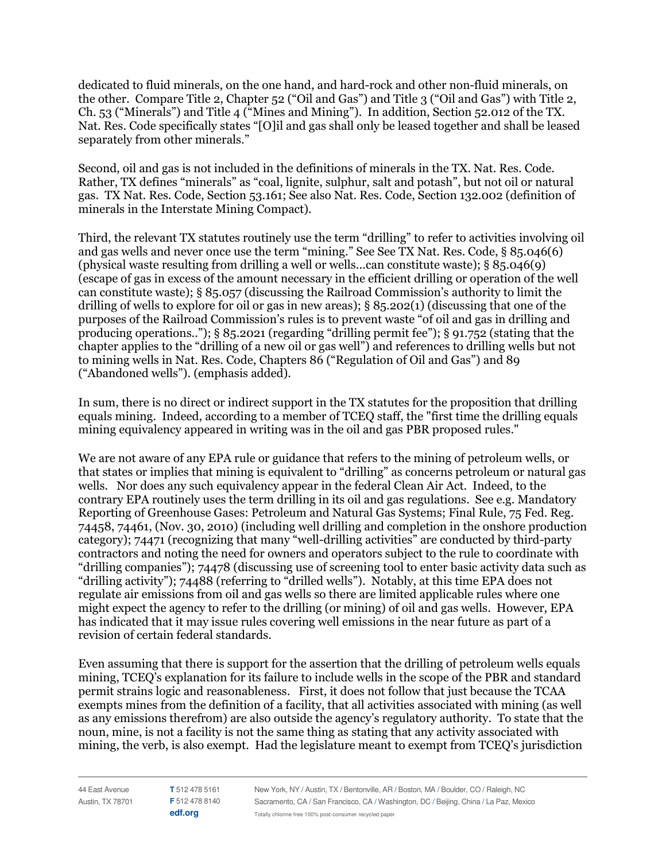dedicated to fluid minerals, on the one hand, and hard-rock and other non-fluid minerals, on the other. Compare Title 2, Chapter 52 ("Oil and Gas") and Title 3 ("Oil and Gas") with Title 2, Ch. 53 ("Minerals") and Title 4 ("Mines and Mining"). In addition, Section 52.012 of the TX. Nat. Res. Code specifically states "[O]il and gas shall only be leased together and shall be leased separately from other minerals."

Second, oil and gas is not included in the definitions of minerals in the TX. Nat. Res. Code. Rather, TX defines "minerals" as "coal, lignite, sulphur, salt and potash", but not oil or natural gas. TX Nat. Res. Code, Section 53.161; See also Nat. Res. Code, Section 132.002 (definition of minerals in the Interstate Mining Compact).

Third, the relevant TX statutes routinely use the term "drilling" to refer to activities involving oil and gas wells and never once use the term "mining." See See TX Nat. Res. Code, § 85.046(6) (physical waste resulting from drilling a well or wells...can constitute waste);  $\S$  85.046(9) (escape of gas in excess of the amount necessary in the efficient drilling or operation of the well can constitute waste); § 85.057 (discussing the Railroad Commission's authority to limit the drilling of wells to explore for oil or gas in new areas);  $\S 85.202(1)$  (discussing that one of the purposes of the Railroad Commission's rules is to prevent waste "of oil and gas in drilling and producing operations.."); § 85.2021 (regarding "drilling permit fee"); § 91.752 (stating that the chapter applies to the "drilling of a new oil or gas well") and references to drilling wells but not to mining wells in Nat. Res. Code, Chapters 86 ("Regulation of Oil and Gas") and 89 ("Abandoned wells"). (emphasis added).

In sum, there is no direct or indirect support in the TX statutes for the proposition that drilling equals mining. Indeed, according to a member of TCEO staff, the "first time the drilling equals" mining equivalency appeared in writing was in the oil and gas PBR proposed rules."

We are not aware of any EPA rule or guidance that refers to the mining of petroleum wells, or that states or implies that mining is equivalent to "drilling" as concerns petroleum or natural gas wells. Nor does any such equivalency appear in the federal Clean Air Act. Indeed, to the contrary EPA routinely uses the term drilling in its oil and gas regulations. See e.g. Mandatory Reporting of Greenhouse Gases: Petroleum and Natural Gas Systems; Final Rule, 75 Fed. Reg. 74458, 74461, (Nov. 30, 2010) (including well drilling and completion in the onshore production category); 74471 (recognizing that many "well-drilling activities" are conducted by third-party contractors and noting the need for owners and operators subject to the rule to coordinate with "drilling companies"); 74478 (discussing use of screening tool to enter basic activity data such as "drilling activity"); 74488 (referring to "drilled wells"). Notably, at this time EPA does not regulate air emissions from oil and gas wells so there are limited applicable rules where one might expect the agency to refer to the drilling (or mining) of oil and gas wells. However, EPA has indicated that it may issue rules covering well emissions in the near future as part of a revision of certain federal standards.

Even assuming that there is support for the assertion that the drilling of petroleum wells equals mining, TCEQ's explanation for its failure to include wells in the scope of the PBR and standard permit strains logic and reasonableness. First, it does not follow that just because the TCAA exempts mines from the definition of a facility, that all activities associated with mining (as well as any emissions therefrom) are also outside the agency's regulatory authority. To state that the noun, mine, is not a facility is not the same thing as stating that any activity associated with mining, the verb, is also exempt. Had the legislature meant to exempt from TCEO's jurisdiction

44 East Avenue Austin, TX 78701 T 512 478 5161 F 512 478 8140 edf.org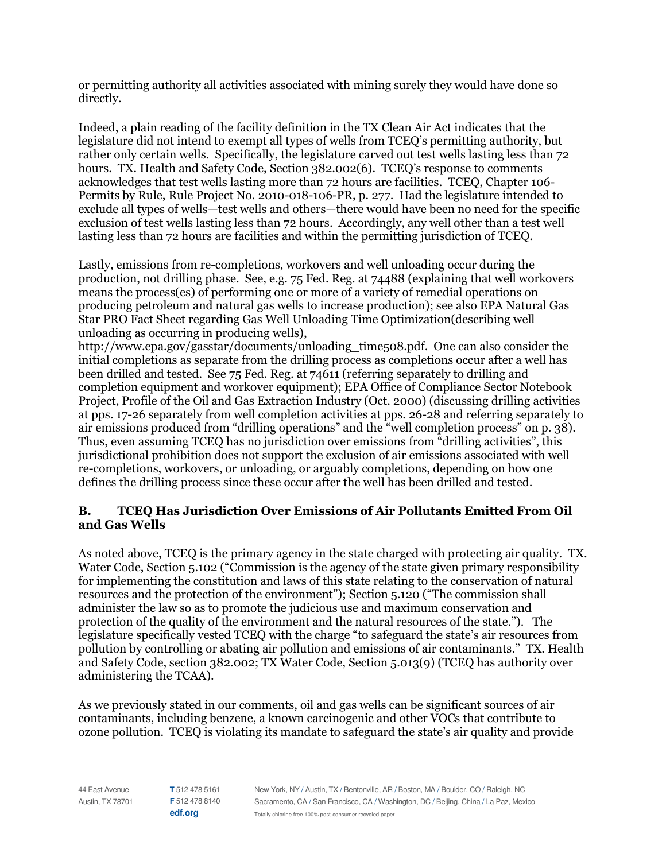or permitting authority all activities associated with mining surely they would have done so directly.

Indeed, a plain reading of the facility definition in the TX Clean Air Act indicates that the legislature did not intend to exempt all types of wells from TCEQ's permitting authority, but rather only certain wells. Specifically, the legislature carved out test wells lasting less than 72 hours. TX. Health and Safety Code, Section 382,002(6). TCEO's response to comments acknowledges that test wells lasting more than 72 hours are facilities. TCEQ, Chapter 106-Permits by Rule, Rule Project No. 2010-018-106-PR, p. 277. Had the legislature intended to exclude all types of wells—test wells and others—there would have been no need for the specific exclusion of test wells lasting less than 72 hours. Accordingly, any well other than a test well lasting less than 72 hours are facilities and within the permitting jurisdiction of TCEQ.

Lastly, emissions from re-completions, workovers and well unloading occur during the production, not drilling phase. See, e.g. 75 Fed. Reg. at 74488 (explaining that well workovers means the process (es) of performing one or more of a variety of remedial operations on producing petroleum and natural gas wells to increase production); see also EPA Natural Gas Star PRO Fact Sheet regarding Gas Well Unloading Time Optimization (describing well unloading as occurring in producing wells).

http://www.epa.gov/gasstar/documents/unloading time508.pdf. One can also consider the initial completions as separate from the drilling process as completions occur after a well has been drilled and tested. See 75 Fed. Reg. at 74611 (referring separately to drilling and completion equipment and workover equipment); EPA Office of Compliance Sector Notebook Project, Profile of the Oil and Gas Extraction Industry (Oct. 2000) (discussing drilling activities at pps. 17-26 separately from well completion activities at pps. 26-28 and referring separately to air emissions produced from "drilling operations" and the "well completion process" on p. 38). Thus, even assuming TCEQ has no jurisdiction over emissions from "drilling activities", this jurisdictional prohibition does not support the exclusion of air emissions associated with well re-completions, workovers, or unloading, or arguably completions, depending on how one defines the drilling process since these occur after the well has been drilled and tested.

## **TCEO Has Jurisdiction Over Emissions of Air Pollutants Emitted From Oil B.** and Gas Wells

As noted above, TCEQ is the primary agency in the state charged with protecting air quality. TX. Water Code, Section 5.102 ("Commission is the agency of the state given primary responsibility for implementing the constitution and laws of this state relating to the conservation of natural resources and the protection of the environment"); Section 5.120 ("The commission shall administer the law so as to promote the judicious use and maximum conservation and protection of the quality of the environment and the natural resources of the state."). The legislature specifically vested TCEQ with the charge "to safeguard the state's air resources from pollution by controlling or abating air pollution and emissions of air contaminants." TX. Health and Safety Code, section 382.002; TX Water Code, Section 5.013(9) (TCEQ has authority over administering the TCAA).

As we previously stated in our comments, oil and gas wells can be significant sources of air contaminants, including benzene, a known carcinogenic and other VOCs that contribute to ozone pollution. TCEQ is violating its mandate to safeguard the state's air quality and provide